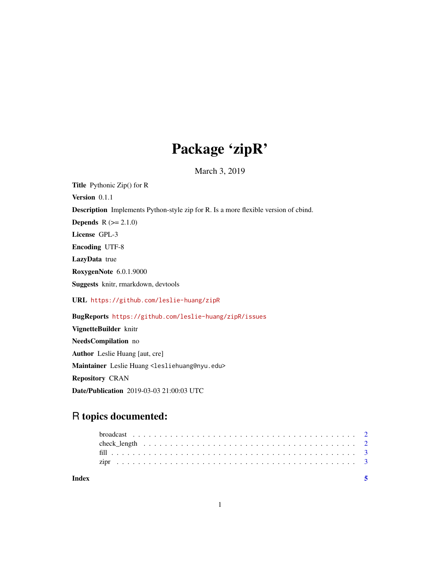## Package 'zipR'

March 3, 2019

Title Pythonic Zip() for R Version 0.1.1 Description Implements Python-style zip for R. Is a more flexible version of cbind. **Depends**  $R (= 2.1.0)$ License GPL-3 Encoding UTF-8 LazyData true RoxygenNote 6.0.1.9000 Suggests knitr, rmarkdown, devtools URL <https://github.com/leslie-huang/zipR> BugReports <https://github.com/leslie-huang/zipR/issues> VignetteBuilder knitr NeedsCompilation no Author Leslie Huang [aut, cre]

Maintainer Leslie Huang <lesliehuang@nyu.edu>

Repository CRAN

Date/Publication 2019-03-03 21:00:03 UTC

### R topics documented:

| Index |  |  |  |  |  |  |  |  |  |  |  |  |  |  |  |  |  |  |
|-------|--|--|--|--|--|--|--|--|--|--|--|--|--|--|--|--|--|--|
|       |  |  |  |  |  |  |  |  |  |  |  |  |  |  |  |  |  |  |
|       |  |  |  |  |  |  |  |  |  |  |  |  |  |  |  |  |  |  |
|       |  |  |  |  |  |  |  |  |  |  |  |  |  |  |  |  |  |  |
|       |  |  |  |  |  |  |  |  |  |  |  |  |  |  |  |  |  |  |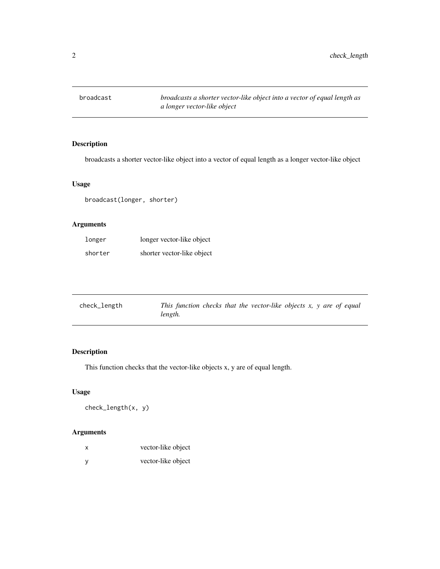<span id="page-1-0"></span>

#### Description

broadcasts a shorter vector-like object into a vector of equal length as a longer vector-like object

#### Usage

broadcast(longer, shorter)

#### Arguments

| longer  | longer vector-like object  |
|---------|----------------------------|
| shorter | shorter vector-like object |

| check_length | This function checks that the vector-like objects $x$ , $y$ are of equal |
|--------------|--------------------------------------------------------------------------|
|              | length.                                                                  |

#### Description

This function checks that the vector-like objects x, y are of equal length.

#### Usage

check\_length(x, y)

#### Arguments

| X   | vector-like object |
|-----|--------------------|
| - y | vector-like object |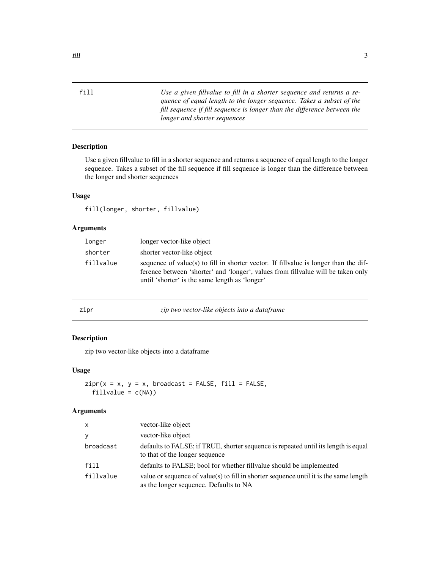<span id="page-2-0"></span>

| f11 | Use a given fillvalue to fill in a shorter sequence and returns a se-    |
|-----|--------------------------------------------------------------------------|
|     | quence of equal length to the longer sequence. Takes a subset of the     |
|     | fill sequence if fill sequence is longer than the difference between the |
|     | longer and shorter sequences                                             |

#### Description

Use a given fillvalue to fill in a shorter sequence and returns a sequence of equal length to the longer sequence. Takes a subset of the fill sequence if fill sequence is longer than the difference between the longer and shorter sequences

#### Usage

fill(longer, shorter, fillvalue)

#### Arguments

| longer    | longer vector-like object                                                                                                                                                                                                   |
|-----------|-----------------------------------------------------------------------------------------------------------------------------------------------------------------------------------------------------------------------------|
| shorter   | shorter vector-like object                                                                                                                                                                                                  |
| fillvalue | sequence of value(s) to fill in shorter vector. If fill value is longer than the dif-<br>ference between 'shorter' and 'longer', values from fillvalue will be taken only<br>until 'shorter' is the same length as 'longer' |

| zıpr | zip two vector-like objects into a dataframe |  |  |
|------|----------------------------------------------|--|--|
|      |                                              |  |  |

#### Description

zip two vector-like objects into a dataframe

#### Usage

```
zipr(x = x, y = x, broadcast = FALSE, fill = FALSE,fillvalue = c(NA))
```
#### Arguments

| $\mathsf{x}$ | vector-like object                                                                                                              |
|--------------|---------------------------------------------------------------------------------------------------------------------------------|
| <b>V</b>     | vector-like object                                                                                                              |
| broadcast    | defaults to FALSE; if TRUE, shorter sequence is repeated until its length is equal<br>to that of the longer sequence            |
| fill         | defaults to FALSE; bool for whether fill value should be implemented                                                            |
| fillvalue    | value or sequence of value(s) to fill in shorter sequence until it is the same length<br>as the longer sequence. Defaults to NA |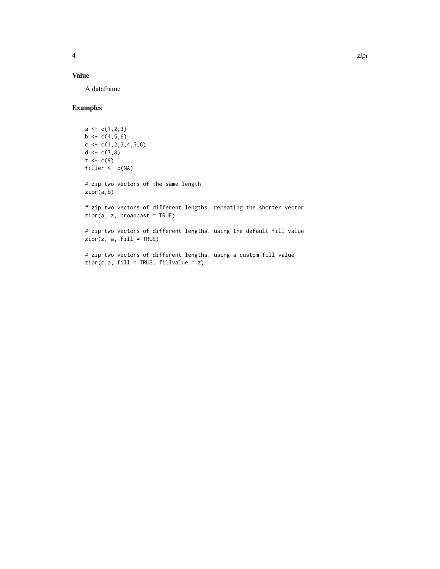#### Value

A dataframe

#### Examples

```
a \leftarrow c(1, 2, 3)b \leftarrow c(4, 5, 6)c \leftarrow c(1, 2, 3, 4, 5, 6)d \leftarrow c(7,8)z < -c(9)filler \leftarrow c(NA)
# zip two vectors of the same length
zipr(a,b)
# zip two vectors of different lengths, repeating the shorter vector
zipr(a, z, broadcast = TRUE)# zip two vectors of different lengths, using the default fill value
zipr(z, a, fill = TRUE)
```
# zip two vectors of different lengths, using a custom fill value  $zipr(c,a, fill = TRUE, fillvalue = z)$